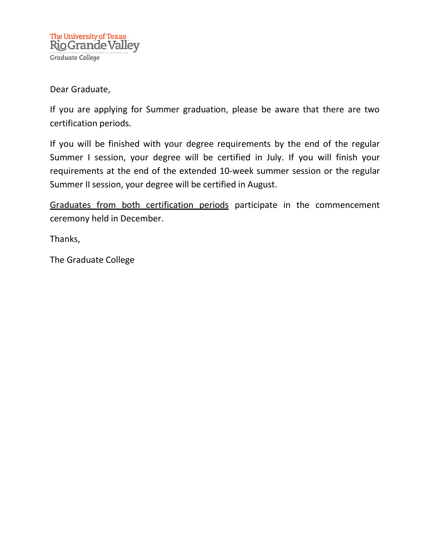## Dear Graduate,

If you are applying for Summer graduation, please be aware that there are two certification periods.

If you will be finished with your degree requirements by the end of the regular Summer I session, your degree will be certified in July. If you will finish your requirements at the end of the extended 10-week summer session or the regular Summer II session, your degree will be certified in August.

Graduates from both certification periods participate in the commencement ceremony held in December.

Thanks,

The Graduate College